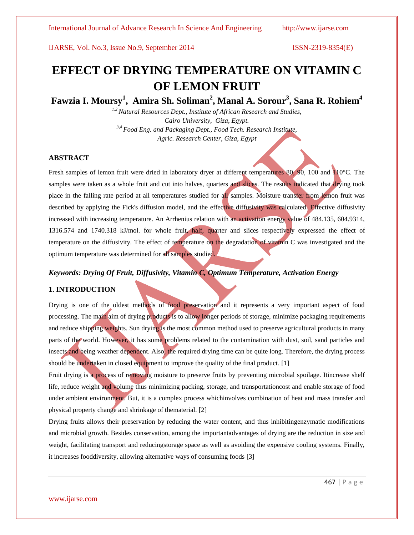# **EFFECT OF DRYING TEMPERATURE ON VITAMIN C OF LEMON FRUIT**

# **Fawzia I. Moursy<sup>1</sup> , Amira Sh. Soliman<sup>2</sup> , Manal A. Sorour<sup>3</sup> , Sana R. Rohiem<sup>4</sup>**

*1,2 Natural Resources Dept., Institute of African Research and Studies, Cairo University, Giza, Egypt. 3,4 Food Eng. and Packaging Dept., Food Tech. Research Institute, Agric. Research Center, Giza, Egypt*

# **ABSTRACT**

Fresh samples of lemon fruit were dried in laboratory dryer at different temperatures 80, 90, 100 and 110°C. The samples were taken as a whole fruit and cut into halves, quarters and slices. The results indicated that drying took place in the falling rate period at all temperatures studied for all samples. Moisture transfer from lemon fruit was described by applying the Fick's diffusion model, and the effective diffusivity was calculated. Effective diffusivity increased with increasing temperature. An Arrhenius relation with an activation energy value of 484.135, 604.9314, 1316.574 and 1740.318 kJ/mol. for whole fruit, half, quarter and slices respectively expressed the effect of temperature on the diffusivity. The effect of temperature on the degradation of vitamin C was investigated and the optimum temperature was determined for all samples studied.

# *Keywords: Drying Of Fruit, Diffusivity, Vitamin C, Optimum Temperature, Activation Energy*

# **1. INTRODUCTION**

Drying is one of the oldest methods of food preservation and it represents a very important aspect of food processing. The main aim of drying products is to allow longer periods of storage, minimize packaging requirements and reduce shipping weights. Sun drying is the most common method used to preserve agricultural products in many parts of the world. However, it has some problems related to the contamination with dust, soil, sand particles and insects and being weather dependent. Also, the required drying time can be quite long. Therefore, the drying process should be undertaken in closed equipment to improve the quality of the final product. [1]

Fruit drying is a process of removing moisture to preserve fruits by preventing microbial spoilage. Itincrease shelf life, reduce weight and volume thus minimizing packing, storage, and transportationcost and enable storage of food under ambient environment. But, it is a complex process whichinvolves combination of heat and mass transfer and physical property change and shrinkage of thematerial. [2]

Drying fruits allows their preservation by reducing the water content, and thus inhibitingenzymatic modifications and microbial growth. Besides conservation, among the importantadvantages of drying are the reduction in size and weight, facilitating transport and reducingstorage space as well as avoiding the expensive cooling systems. Finally, it increases fooddiversity, allowing alternative ways of consuming foods [3]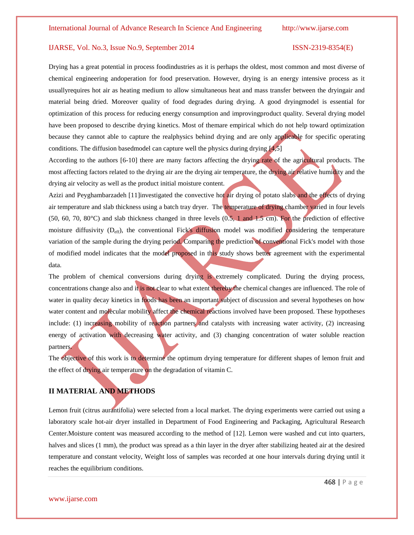Drying has a great potential in process foodindustries as it is perhaps the oldest, most common and most diverse of chemical engineering andoperation for food preservation. However, drying is an energy intensive process as it usuallyrequires hot air as heating medium to allow simultaneous heat and mass transfer between the dryingair and material being dried. Moreover quality of food degrades during drying. A good dryingmodel is essential for optimization of this process for reducing energy consumption and improvingproduct quality. Several drying model have been proposed to describe drying kinetics. Most of themare empirical which do not help toward optimization because they cannot able to capture the realphysics behind drying and are only applicable for specific operating conditions. The diffusion based model can capture well the physics during drying  $[4,5]$ 

According to the authors [6-10] there are many factors affecting the drying rate of the agricultural products. The most affecting factors related to the drying air are the drying air temperature, the drying air relative humidity and the drying air velocity as well as the product initial moisture content.

Azizi and Peyghambarzadeh [11]investigated the convective hot air drying of potato slabs and the effects of drying air temperature and slab thickness using a batch tray dryer. The temperature of drying chamber varied in four levels (50, 60, 70, 80°C) and slab thickness changed in three levels (0.5, 1 and 1.5 cm). For the prediction of effective moisture diffusivity (D<sub>eff</sub>), the conventional Fick's diffusion model was modified considering the temperature variation of the sample during the drying period. Comparing the prediction of conventional Fick's model with those of modified model indicates that the model proposed in this study shows better agreement with the experimental data.

The problem of chemical conversions during drying is extremely complicated. During the drying process, concentrations change also and it is not clear to what extent thereby the chemical changes are influenced. The role of water in quality decay kinetics in foods has been an important subject of discussion and several hypotheses on how water content and molecular mobility affect the chemical reactions involved have been proposed. These hypotheses include: (1) increasing mobility of reaction partners and catalysts with increasing water activity, (2) increasing energy of activation with decreasing water activity, and (3) changing concentration of water soluble reaction partners.

The objective of this work is to determine the optimum drying temperature for different shapes of lemon fruit and the effect of drying air temperature on the degradation of vitamin C.

# **II MATERIAL AND METHODS**

Lemon fruit (citrus aurantifolia) were selected from a local market. The drying experiments were carried out using a laboratory scale hot-air dryer installed in Department of Food Engineering and Packaging, Agricultural Research Center.Moisture content was measured according to the method of [12]. Lemon were washed and cut into quarters, halves and slices (1 mm), the product was spread as a thin layer in the dryer after stabilizing heated air at the desired temperature and constant velocity, Weight loss of samples was recorded at one hour intervals during drying until it reaches the equilibrium conditions.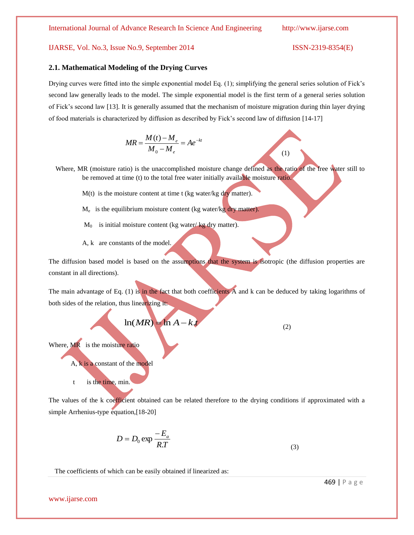### **2.1. Mathematical Modeling of the Drying Curves**

Drying curves were fitted into the simple exponential model Eq. (1); simplifying the general series solution of Fick's second law generally leads to the model. The simple exponential model is the first term of a general series solution of Fick's second law [13]. It is generally assumed that the mechanism of moisture migration during thin layer drying of food materials is characterized by diffusion as described by Fick's second law of diffusion [14-17]

$$
MR = \frac{M(t) - M_e}{M_0 - M_e} = Ae^{-kt}
$$
 (1)

Where, MR (moisture ratio) is the unaccomplished moisture change defined as the ratio of the free water still to be removed at time (t) to the total free water initially available moisture ratio.

- $M(t)$  is the moisture content at time t (kg water/kg dry matter).
- M<sub>e</sub> is the equilibrium moisture content (kg water/kg dry matter).
- $M_0$  is initial moisture content (kg water/kg dry matter).
- A, k are constants of the model.

The diffusion based model is based on the assumptions that the system is isotropic (the diffusion properties are constant in all directions).

The main advantage of Eq. (1) is in the fact that both coefficients A and k can be deduced by taking logarithms of both sides of the relation, thus linearizing it:

$$
\ln(MR) = \ln A - k \, t \tag{2}
$$

Where, MR is the moisture ratio

A, k is a constant of the model

t is the time, min.

The values of the k coefficient obtained can be related therefore to the drying conditions if approximated with a simple Arrhenius-type equation,[18-20]

$$
D = D_0 \exp \frac{-E_a}{RT}
$$
 (3)

The coefficients of which can be easily obtained if linearized as:

www.ijarse.com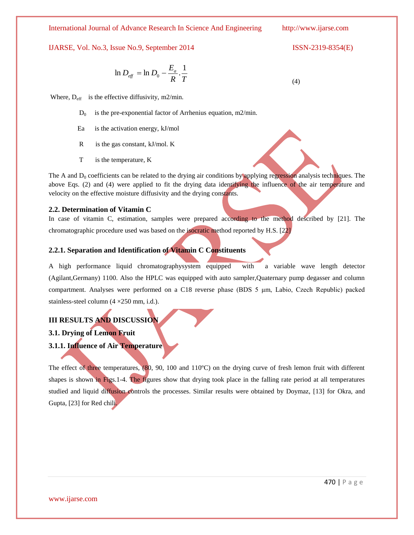International Journal of Advance Research In Science And Engineering http://www.ijarse.com

IJARSE, Vol. No.3, Issue No.9, September 2014 ISSN-2319-8354(E)

$$
\ln D_{\text{eff}} = \ln D_0 - \frac{E_a}{R} \cdot \frac{1}{T} \tag{4}
$$

Where,  $D_{\text{eff}}$  is the effective diffusivity, m2/min.

- $D_0$  is the pre-exponential factor of Arrhenius equation, m2/min.
- Ea is the activation energy, kJ/mol
- R is the gas constant, kJ/mol. K
- T is the temperature, K

The A and  $D_0$  coefficients can be related to the drying air conditions by applying regression analysis techniques. The above Eqs. (2) and (4) were applied to fit the drying data identifying the influence of the air temperature and velocity on the effective moisture diffusivity and the drying constants.

# **2.2. Determination of Vitamin C**

In case of vitamin C, estimation, samples were prepared according to the method described by [21]. The chromatographic procedure used was based on the isocratic method reported by H.S. [22]

# **2.2.1. Separation and Identification of Vitamin C Constituents**

A high performance liquid chromatographysystem equipped with a variable wave length detector (Agilant,Germany) 1100. Also the HPLC was equipped with auto sampler,Quaternary pump degasser and column compartment. Analyses were performed on a C18 reverse phase (BDS 5 μm, Labio, Czech Republic) packed stainless-steel column (4 ×250 mm, i.d.).

# **III RESULTS AND DISCUSSION**

**3.1. Drying of Lemon Fruit**

**3.1.1. Influence of Air Temperature**

The effect of three temperatures, (80, 90, 100 and 110°C) on the drying curve of fresh lemon fruit with different shapes is shown in Figs.1-4. The figures show that drying took place in the falling rate period at all temperatures studied and liquid diffusion controls the processes. Similar results were obtained by Doymaz, [13] for Okra, and Gupta, [23] for Red chili.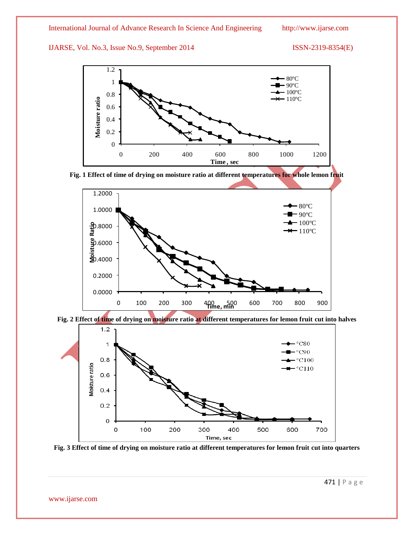





**Fig. 2 Effect of time of drying on moisture ratio at different temperatures for lemon fruit cut into halves**



**Fig. 3 Effect of time of drying on moisture ratio at different temperatures for lemon fruit cut into quarters**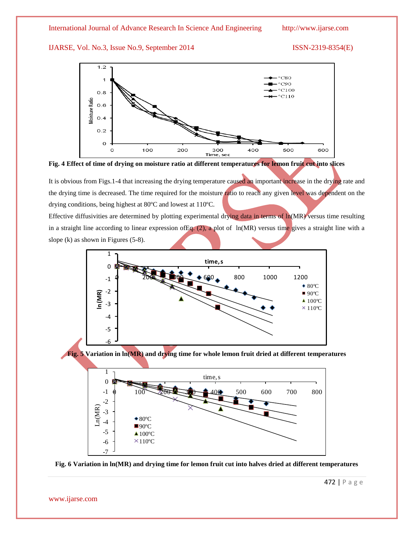



It is obvious from Figs.1-4 that increasing the drying temperature caused an important increase in the drying rate and the drying time is decreased. The time required for the moisture ratio to reach any given level was dependent on the drying conditions, being highest at 80ºC and lowest at 110ºC.

Effective diffusivities are determined by plotting experimental drying data in terms of ln(MR) versus time resulting in a straight line according to linear expression of Eq.  $(2)$ , a plot of ln(MR) versus time gives a straight line with a slope (k) as shown in Figures (5-8).





-7 -6 -5 -4

 $\bullet$  80 $^{\circ}$ C  $\blacksquare$ 90°C  $\triangle$  100 $^{\circ}$ C  $×110°C$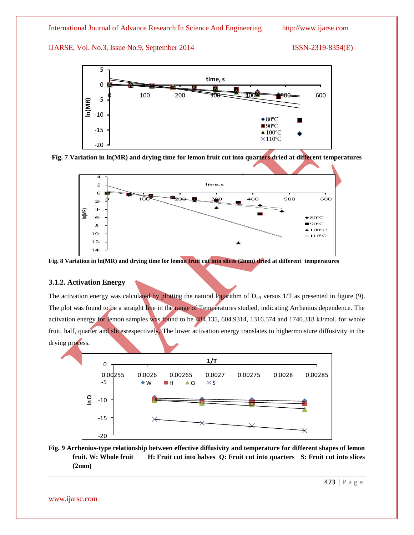





**Fig. 8 Variation in ln(MR) and drying time for lemon fruit cut into slices (2mm) dried at different temperatures**

# **3.1.2. Activation Energy**

The activation energy was calculated by plotting the natural logarithm of  $D_{eff}$  versus  $1/T$  as presented in figure (9). The plot was found to be a straight line in the range of Temperatures studied, indicating Arrhenius dependence. The activation energy for lemon samples was found to be 484.135, 604.9314, 1316.574 and 1740.318 kJ/mol. for whole fruit, half, quarter and slicesrespectively, The lower activation energy translates to highermoisture diffusivity in the drying process.



**Fig. 9 Arrhenius-type relationship between effective diffusivity and temperature for different shapes of lemon fruit. W: Whole fruit H: Fruit cut into halves Q: Fruit cut into quarters S: Fruit cut into slices (2mm)**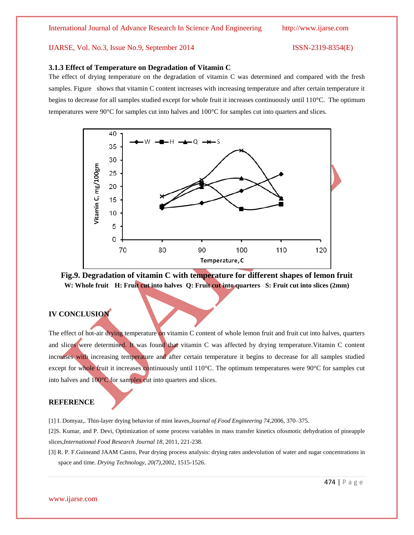### **3.1.3 Effect of Temperature on Degradation of Vitamin C**

The effect of drying temperature on the degradation of vitamin C was determined and compared with the fresh samples. Figure shows that vitamin C content increases with increasing temperature and after certain temperature it begins to decrease for all samples studied except for whole fruit it increases continuously until 110°C. The optimum temperatures were 90°C for samples cut into halves and 100°C for samples cut into quarters and slices.



**Fig.9. Degradation of vitamin C with temperature for different shapes of lemon fruit W: Whole fruit H: Fruit cut into halves Q: Fruit cut into quarters S: Fruit cut into slices (2mm)**

# **IV CONCLUSION**

The effect of hot-air drying temperature on vitamin C content of whole lemon fruit and fruit cut into halves, quarters and slices were determined. It was found that vitamin C was affected by drying temperature.Vitamin C content increases with increasing temperature and after certain temperature it begins to decrease for all samples studied except for whole fruit it increases continuously until 110°C. The optimum temperatures were 90°C for samples cut into halves and 100°C for samples cut into quarters and slices.

# **REFERENCE**

[1] I. Domyaz,. Thin-layer drying behavior of mint leaves,*Journal of Food Engineering 74,*2006, 370–375.

[2]S. Kumar, and P. Devi, Optimization of some process variables in mass transfer kinetics ofosmotic dehydration of pineapple slices,*International Food Research Journal 18*, 2011, 221-238.

[3] R. P. F.Guineand JAAM Castro, Pear drying process analysis: drying rates andevolution of water and sugar concentrations in space and time. *Drying Technology, 20(7),*2002, 1515-1526.